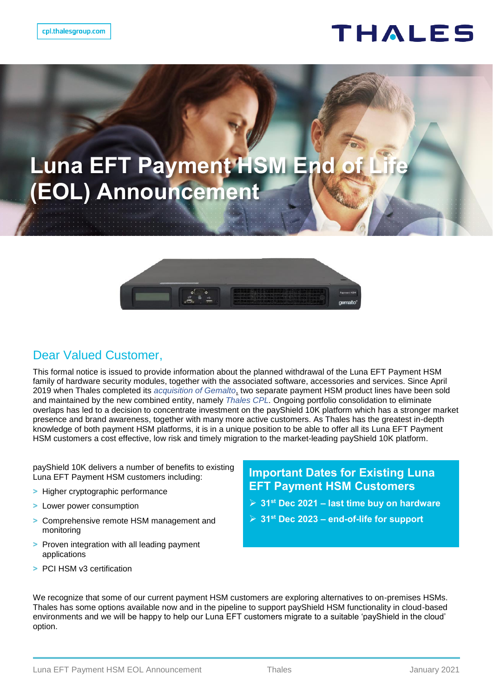## THALES

# **Luna EFT Payment HSM End of (EOL) Announcement**



#### Dear Valued Customer,

This formal notice is issued to provide information about the planned withdrawal of the Luna EFT Payment HSM family of hardware security modules, together with the associated software, accessories and services. Since April 2019 when Thales completed its *[acquisition of Gemalto](https://www.thalesgroup.com/en/group/journalist/press-release/thales-completes-acquisition-gemalto-become-global-leader-digital)*, two separate payment HSM product lines have been sold and maintained by the new combined entity, namely *[Thales CPL.](https://cpl.thalesgroup.com/)* Ongoing portfolio consolidation to eliminate overlaps has led to a decision to concentrate investment on the payShield 10K platform which has a stronger market presence and brand awareness, together with many more active customers. As Thales has the greatest in-depth knowledge of both payment HSM platforms, it is in a unique position to be able to offer all its Luna EFT Payment HSM customers a cost effective, low risk and timely migration to the market-leading payShield 10K platform.

payShield 10K delivers a number of benefits to existing Luna EFT Payment HSM customers including:

- **>** Higher cryptographic performance
- **>** Lower power consumption
- **>** Comprehensive remote HSM management and monitoring
- **>** Proven integration with all leading payment applications
- **>** PCI HSM v3 certification

#### **Important Dates for Existing Luna EFT Payment HSM Customers**

- **31st Dec 2021 – last time buy on hardware**
- **31st Dec 2023 – end-of-life for support**

We recognize that some of our current payment HSM customers are exploring alternatives to on-premises HSMs. Thales has some options available now and in the pipeline to support payShield HSM functionality in cloud-based environments and we will be happy to help our Luna EFT customers migrate to a suitable 'payShield in the cloud' option.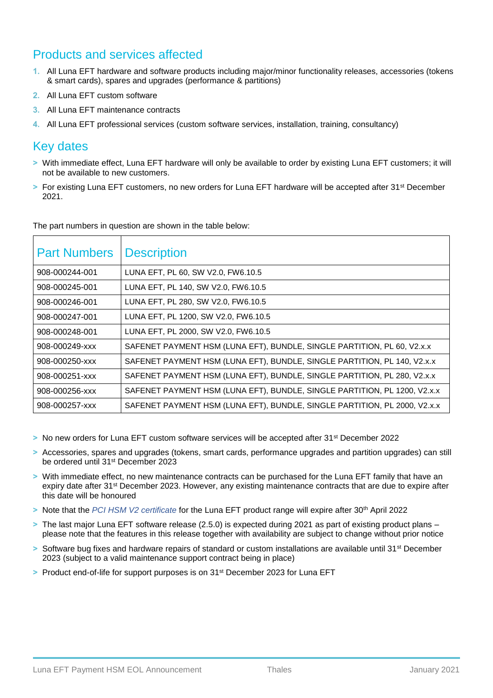### Products and services affected

- **1.** All Luna EFT hardware and software products including major/minor functionality releases, accessories (tokens & smart cards), spares and upgrades (performance & partitions)
- **2.** All Luna EFT custom software
- **3.** All Luna EFT maintenance contracts
- **4.** All Luna EFT professional services (custom software services, installation, training, consultancy)

#### Key dates

- **>** With immediate effect, Luna EFT hardware will only be available to order by existing Luna EFT customers; it will not be available to new customers.
- **>** For existing Luna EFT customers, no new orders for Luna EFT hardware will be accepted after 31st December 2021.

| The part numbers in question are shown in the table below: |
|------------------------------------------------------------|
|------------------------------------------------------------|

| <b>Part Numbers</b> | <b>Description</b>                                                        |
|---------------------|---------------------------------------------------------------------------|
| 908-000244-001      | LUNA EFT, PL 60, SW V2.0, FW6.10.5                                        |
| 908-000245-001      | LUNA EFT, PL 140, SW V2.0, FW6.10.5                                       |
| 908-000246-001      | LUNA EFT, PL 280, SW V2.0, FW6.10.5                                       |
| 908-000247-001      | LUNA EFT, PL 1200, SW V2.0, FW6.10.5                                      |
| 908-000248-001      | LUNA EFT, PL 2000, SW V2.0, FW6.10.5                                      |
| 908-000249-xxx      | SAFENET PAYMENT HSM (LUNA EFT), BUNDLE, SINGLE PARTITION, PL 60, V2.x.x   |
| 908-000250-xxx      | SAFENET PAYMENT HSM (LUNA EFT), BUNDLE, SINGLE PARTITION, PL 140, V2.x.x  |
| 908-000251-xxx      | SAFENET PAYMENT HSM (LUNA EFT), BUNDLE, SINGLE PARTITION, PL 280, V2.x.x  |
| 908-000256-xxx      | SAFENET PAYMENT HSM (LUNA EFT), BUNDLE, SINGLE PARTITION, PL 1200, V2.x.x |
| 908-000257-xxx      | SAFENET PAYMENT HSM (LUNA EFT), BUNDLE, SINGLE PARTITION, PL 2000, V2.x.x |

- **>** No new orders for Luna EFT custom software services will be accepted after 31st December 2022
- **>** Accessories, spares and upgrades (tokens, smart cards, performance upgrades and partition upgrades) can still be ordered until 31st December 2023
- **>** With immediate effect, no new maintenance contracts can be purchased for the Luna EFT family that have an expiry date after 31<sup>st</sup> December 2023. However, any existing maintenance contracts that are due to expire after this date will be honoured
- **>** Note that the *[PCI HSM V2 certificate](https://www.pcisecuritystandards.org/popups/pts_device.php?appnum=4-70020)* for the Luna EFT product range will expire after 30th April 2022
- **>** The last major Luna EFT software release (2.5.0) is expected during 2021 as part of existing product plans please note that the features in this release together with availability are subject to change without prior notice
- > Software bug fixes and hardware repairs of standard or custom installations are available until 31<sup>st</sup> December 2023 (subject to a valid maintenance support contract being in place)
- **>** Product end-of-life for support purposes is on 31st December 2023 for Luna EFT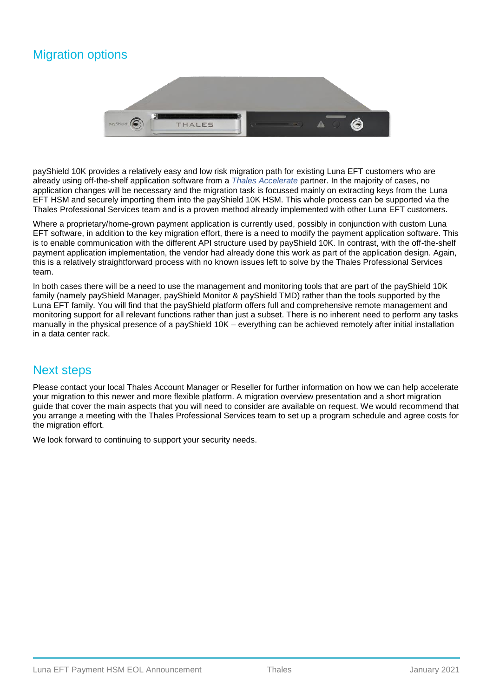## Migration options



payShield 10K provides a relatively easy and low risk migration path for existing Luna EFT customers who are already using off-the-shelf application software from a *[Thales Accelerate](https://cpl.thalesgroup.com/partners/overview)* partner. In the majority of cases, no application changes will be necessary and the migration task is focussed mainly on extracting keys from the Luna EFT HSM and securely importing them into the payShield 10K HSM. This whole process can be supported via the Thales Professional Services team and is a proven method already implemented with other Luna EFT customers.

Where a proprietary/home-grown payment application is currently used, possibly in conjunction with custom Luna EFT software, in addition to the key migration effort, there is a need to modify the payment application software. This is to enable communication with the different API structure used by payShield 10K. In contrast, with the off-the-shelf payment application implementation, the vendor had already done this work as part of the application design. Again, this is a relatively straightforward process with no known issues left to solve by the Thales Professional Services team.

In both cases there will be a need to use the management and monitoring tools that are part of the payShield 10K family (namely payShield Manager, payShield Monitor & payShield TMD) rather than the tools supported by the Luna EFT family. You will find that the payShield platform offers full and comprehensive remote management and monitoring support for all relevant functions rather than just a subset. There is no inherent need to perform any tasks manually in the physical presence of a payShield 10K – everything can be achieved remotely after initial installation in a data center rack.

#### Next steps

Please contact your local Thales Account Manager or Reseller for further information on how we can help accelerate your migration to this newer and more flexible platform. A migration overview presentation and a short migration guide that cover the main aspects that you will need to consider are available on request. We would recommend that you arrange a meeting with the Thales Professional Services team to set up a program schedule and agree costs for the migration effort.

We look forward to continuing to support your security needs.